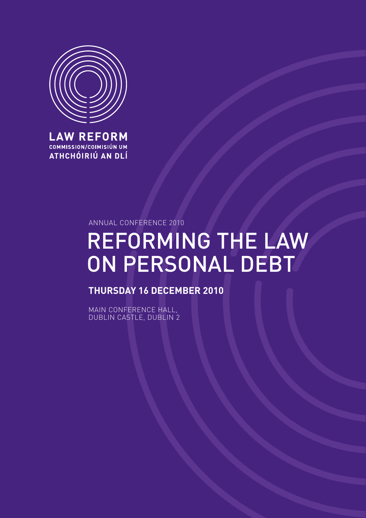

**LAW REFORM COMMISSION/COIMISIÚN UM** ATHCHÓIRIÚ AN DLÍ

Annual Conference 2010

# Reforming the Law on Personal Debt

**Thursday 16 December 2010**

Main Conference Hall, DUBLIN CASTLE, DUBLIN 2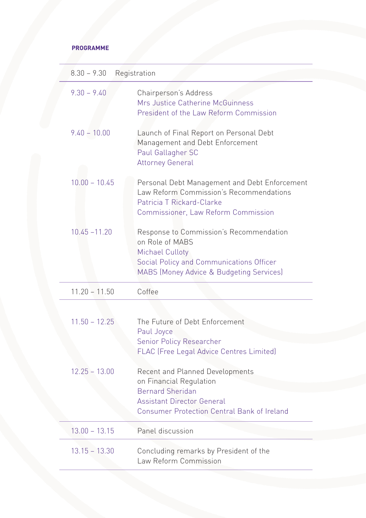# **programme**

| $8.30 - 9.30$<br>Registration |                                                                                                                                                                                         |
|-------------------------------|-----------------------------------------------------------------------------------------------------------------------------------------------------------------------------------------|
| $9.30 - 9.40$                 | Chairperson's Address<br>Mrs Justice Catherine McGuinness<br>President of the Law Reform Commission                                                                                     |
| $9.40 - 10.00$                | Launch of Final Report on Personal Debt<br>Management and Debt Enforcement<br>Paul Gallagher SC<br><b>Attorney General</b>                                                              |
| $10.00 - 10.45$               | Personal Debt Management and Debt Enforcement<br>Law Reform Commission's Recommendations<br>Patricia T Rickard-Clarke<br><b>Commissioner, Law Reform Commission</b>                     |
| $10.45 - 11.20$               | Response to Commission's Recommendation<br>on Role of MABS<br>Michael Culloty<br>Social Policy and Communications Officer<br>MABS (Money Advice & Budgeting Services)                   |
| $11.20 - 11.50$               | Coffee                                                                                                                                                                                  |
|                               |                                                                                                                                                                                         |
| $11.50 - 12.25$               | The Future of Debt Enforcement<br>Paul Joyce<br>Senior Policy Researcher<br><b>FLAC (Free Legal Advice Centres Limited)</b>                                                             |
| $12.25 - 13.00$               | <b>Recent and Planned Developments</b><br>on Financial Regulation<br><b>Bernard Sheridan</b><br><b>Assistant Director General</b><br><b>Consumer Protection Central Bank of Ireland</b> |
| $13.00 - 13.15$               | Panel discussion                                                                                                                                                                        |
| $13.15 - 13.30$               | Concluding remarks by President of the<br>Law Reform Commission                                                                                                                         |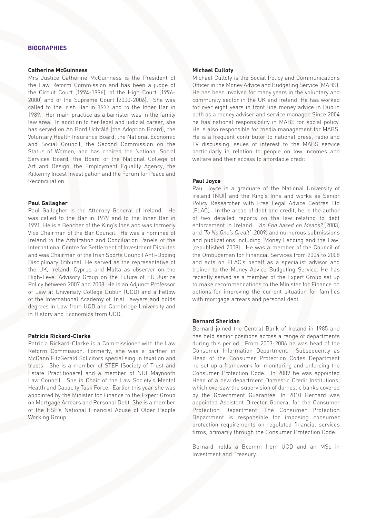# **Catherine McGuinness**

Mrs Justice Catherine McGuinness is the President of the Law Reform Commission and has been a judge of the Circuit Court (1994-1996), of the High Court (1996- 2000) and of the Supreme Court (2000-2006). She was called to the Irish Bar in 1977 and to the Inner Bar in 1989. Her main practice as a barrister was in the family law area. In addition to her legal and judicial career, she has served on An Bord Uchtálá (the Adoption Board), the Voluntary Health Insurance Board, the National Economic and Social Council, the Second Commission on the Status of Women, and has chaired the National Social Services Board, the Board of the National College of Art and Design, the Employment Equality Agency, the Kilkenny Incest Investigation and the Forum for Peace and Reconciliation.

#### **Paul Gallagher**

Paul Gallagher is the Attorney General of Ireland. He was called to the Bar in 1979 and to the Inner Bar in 1991. He is a Bencher of the King's Inns and was formerly Vice Chairman of the Bar Council. He was a nominee of Ireland to the Arbitration and Conciliation Panels of the International Centre for Settlement of Investment Disputes and was Chairman of the Irish Sports Council Anti-Doping Disciplinary Tribunal. He served as the representative of the UK, Ireland, Cyprus and Malta as observer on the High-Level Advisory Group on the Future of EU Justice Policy between 2007 and 2008. He is an Adjunct Professor of Law at University College Dublin (UCD) and a Fellow of the International Academy of Trial Lawyers and holds degrees in Law from UCD and Cambridge University and in History and Economics from UCD.

#### **Patricia Rickard-Clarke**

Patricia Rickard-Clarke is a Commissioner with the Law Reform Commission. Formerly, she was a partner in McCann FitzGerald Solicitors specialising in taxation and trusts. She is a member of STEP (Society of Trust and Estate Practitioners) and a member of NUI Maynooth Law Council. She is Chair of the Law Society's Mental Health and Capacity Task Force. Earlier this year she was appointed by the Minister for Finance to the Expert Group on Mortgage Arrears and Personal Debt. She is a member of the HSE's National Financial Abuse of Older People Working Group.

# **Michael Culloty**

Michael Culloty is the Social Policy and Communications Officer in the Money Advice and Budgeting Service (MABS). He has been involved for many years in the voluntary and community sector in the UK and Ireland. He has worked for over eight years in front line money advice in Dublin both as a money adviser and service manager. Since 2004 he has national responsibility in MABS for social policy. He is also responsible for media management for MABS. He is a frequent contributor to national press, radio and TV discussing issues of interest to the MABS service particularly in relation to people on low incomes and welfare and their access to affordable credit.

#### **Paul Joyce**

Paul Joyce is a graduate of the National University of Ireland (NUI) and the King's Inns and works as Senior Policy Researcher with Free Legal Advice Centres Ltd (FLAC). In the areas of debt and credit, he is the author of two detailed reports on the law relating to debt enforcement in Ireland. *'An End based on Means?'*(2003) and *'To No One's Credit'* (2009) and numerous submissions and publications including 'Money Lending and the Law' (republished 2008). He was a member of the Council of the Ombudsman for Financial Services from 2004 to 2008 and acts on FLAC's behalf as a specialist advisor and trainer to the Money Advice Budgeting Service. He has recently served as a member of the Expert Group set up to make recommendations to the Minister for Finance on options for improving the current situation for families with mortgage arrears and personal debt

## **Bernard Sheridan**

Bernard joined the Central Bank of Ireland in 1985 and has held senior positions across a range of departments during this period. From 2003-2006 he was head of the Consumer Information Department. Subsequently as Head of the Consumer Protection Codes Department he set up a framework for monitoring and enforcing the Consumer Protection Code. In 2009 he was appointed Head of a new department Domestic Credit Institutions, which oversaw the supervision of domestic banks covered by the Government Guarantee. In 2010 Bernard was appointed Assistant Director General for the Consumer Protection Department. The Consumer Protection Department is responsible for imposing consumer protection requirements on regulated financial services firms, primarily through the Consumer Protection Code.

Bernard holds a Bcomm from UCD and an MSc in Investment and Treasury.